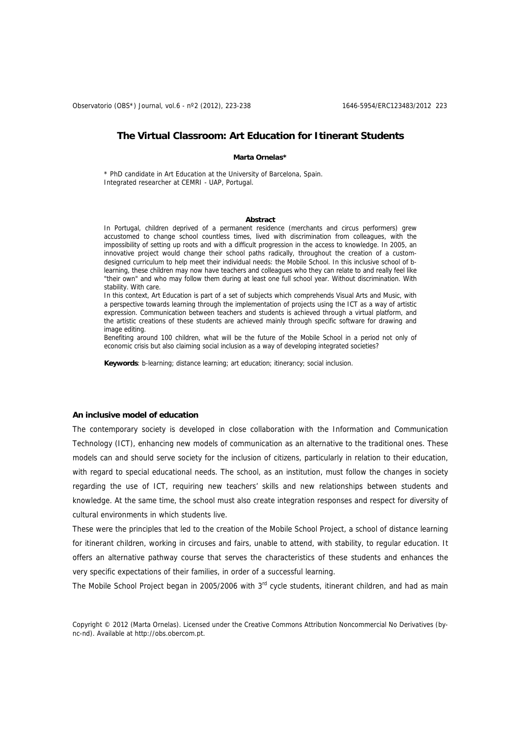Observatorio (OBS\*) Journal, vol.6 - nº2 (2012), 223-238 1646-5954/ERC123483/2012 223

# **The Virtual Classroom: Art Education for Itinerant Students**

#### **Marta Ornelas\***

\* PhD candidate in Art Education at the University of Barcelona, Spain. Integrated researcher at CEMRI - UAP, Portugal.

#### **Abstract**

In Portugal, children deprived of a permanent residence (merchants and circus performers) grew accustomed to change school countless times, lived with discrimination from colleagues, with the impossibility of setting up roots and with a difficult progression in the access to knowledge. In 2005, an innovative project would change their school paths radically, throughout the creation of a customdesigned curriculum to help meet their individual needs: the Mobile School. In this inclusive school of blearning, these children may now have teachers and colleagues who they can relate to and really feel like "their own" and who may follow them during at least one full school year. Without discrimination. With stability. With care.

In this context, Art Education is part of a set of subjects which comprehends Visual Arts and Music, with a perspective towards learning through the implementation of projects using the ICT as a way of artistic expression. Communication between teachers and students is achieved through a virtual platform, and the artistic creations of these students are achieved mainly through specific software for drawing and image editing.

Benefiting around 100 children, what will be the future of the Mobile School in a period not only of economic crisis but also claiming social inclusion as a way of developing integrated societies?

**Keywords**: b-learning; distance learning; art education; itinerancy; social inclusion.

### **An inclusive model of education**

The contemporary society is developed in close collaboration with the Information and Communication Technology (ICT), enhancing new models of communication as an alternative to the traditional ones. These models can and should serve society for the inclusion of citizens, particularly in relation to their education, with regard to special educational needs. The school, as an institution, must follow the changes in society regarding the use of ICT, requiring new teachers' skills and new relationships between students and knowledge. At the same time, the school must also create integration responses and respect for diversity of cultural environments in which students live.

These were the principles that led to the creation of the Mobile School Project, a school of distance learning for itinerant children, working in circuses and fairs, unable to attend, with stability, to regular education. It offers an alternative pathway course that serves the characteristics of these students and enhances the very specific expectations of their families, in order of a successful learning.

The Mobile School Project began in 2005/2006 with 3rd cycle students, itinerant children, and had as main

Copyright © 2012 (Marta Ornelas). Licensed under the Creative Commons Attribution Noncommercial No Derivatives (bync-nd). Available at http://obs.obercom.pt.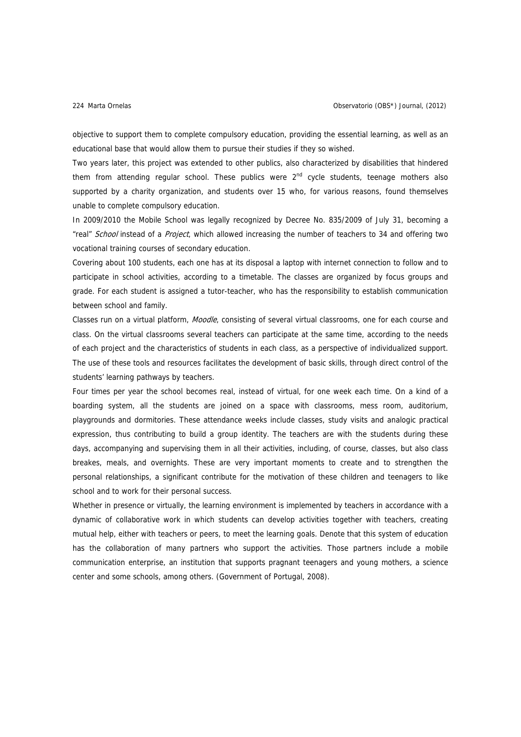objective to support them to complete compulsory education, providing the essential learning, as well as an educational base that would allow them to pursue their studies if they so wished.

Two years later, this project was extended to other publics, also characterized by disabilities that hindered them from attending regular school. These publics were 2<sup>nd</sup> cycle students, teenage mothers also supported by a charity organization, and students over 15 who, for various reasons, found themselves unable to complete compulsory education.

In 2009/2010 the Mobile School was legally recognized by Decree No. 835/2009 of July 31, becoming a "real" School instead of a Project, which allowed increasing the number of teachers to 34 and offering two vocational training courses of secondary education.

Covering about 100 students, each one has at its disposal a laptop with internet connection to follow and to participate in school activities, according to a timetable. The classes are organized by focus groups and grade. For each student is assigned a tutor-teacher, who has the responsibility to establish communication between school and family.

Classes run on a virtual platform, Moodle, consisting of several virtual classrooms, one for each course and class. On the virtual classrooms several teachers can participate at the same time, according to the needs of each project and the characteristics of students in each class, as a perspective of individualized support. The use of these tools and resources facilitates the development of basic skills, through direct control of the students' learning pathways by teachers.

Four times per year the school becomes real, instead of virtual, for one week each time. On a kind of a boarding system, all the students are joined on a space with classrooms, mess room, auditorium, playgrounds and dormitories. These attendance weeks include classes, study visits and analogic practical expression, thus contributing to build a group identity. The teachers are with the students during these days, accompanying and supervising them in all their activities, including, of course, classes, but also class breakes, meals, and overnights. These are very important moments to create and to strengthen the personal relationships, a significant contribute for the motivation of these children and teenagers to like school and to work for their personal success.

Whether in presence or virtually, the learning environment is implemented by teachers in accordance with a dynamic of collaborative work in which students can develop activities together with teachers, creating mutual help, either with teachers or peers, to meet the learning goals. Denote that this system of education has the collaboration of many partners who support the activities. Those partners include a mobile communication enterprise, an institution that supports pragnant teenagers and young mothers, a science center and some schools, among others. (Government of Portugal, 2008).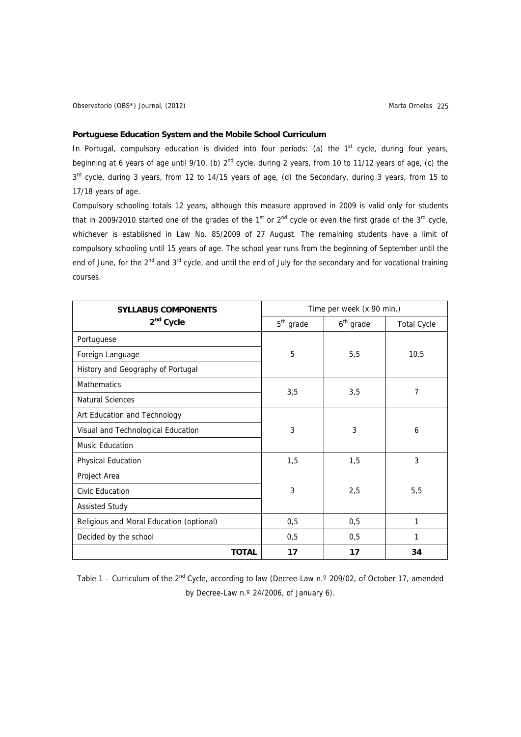# **Portuguese Education System and the Mobile School Curriculum**

In Portugal, compulsory education is divided into four periods: (a) the  $1<sup>st</sup>$  cycle, during four years, beginning at 6 years of age until 9/10, (b)  $2^{nd}$  cycle, during 2 years, from 10 to 11/12 years of age, (c) the 3<sup>rd</sup> cycle, during 3 years, from 12 to 14/15 years of age, (d) the Secondary, during 3 years, from 15 to 17/18 years of age.

Compulsory schooling totals 12 years, although this measure approved in 2009 is valid only for students that in 2009/2010 started one of the grades of the 1st or  $2^{nd}$  cycle or even the first grade of the  $3^{rd}$  cycle, whichever is established in Law No. 85/2009 of 27 August. The remaining students have a limit of compulsory schooling until 15 years of age. The school year runs from the beginning of September until the end of June, for the 2<sup>nd</sup> and 3<sup>rd</sup> cycle, and until the end of July for the secondary and for vocational training courses.

| <b>SYLLABUS COMPONENTS</b>               | Time per week (x 90 min.) |                       |                    |
|------------------------------------------|---------------------------|-----------------------|--------------------|
| 2 <sup>nd</sup> Cycle                    | $5th$ grade               | 6 <sup>th</sup> grade | <b>Total Cycle</b> |
| Portuguese                               |                           |                       |                    |
| Foreign Language                         | 5                         | 5,5                   | 10,5               |
| History and Geography of Portugal        |                           |                       |                    |
| <b>Mathematics</b>                       |                           | 3,5                   | 7                  |
| <b>Natural Sciences</b>                  | 3,5                       |                       |                    |
| Art Education and Technology             |                           | 3                     | 6                  |
| Visual and Technological Education       | 3                         |                       |                    |
| <b>Music Education</b>                   |                           |                       |                    |
| Physical Education                       | 1,5                       | 1,5                   | 3                  |
| Project Area                             | 3                         | 2,5                   | 5,5                |
| Civic Education                          |                           |                       |                    |
| <b>Assisted Study</b>                    |                           |                       |                    |
| Religious and Moral Education (optional) | 0,5                       | 0,5                   | 1                  |
| Decided by the school                    | 0,5                       | 0,5                   | 1                  |
| <b>TOTAL</b>                             | 17                        | 17                    | 34                 |

Table 1 – Curriculum of the 2<sup>nd</sup> Cycle, according to law (Decree-Law n.º 209/02, of October 17, amended by Decree-Law n.º 24/2006, of January 6).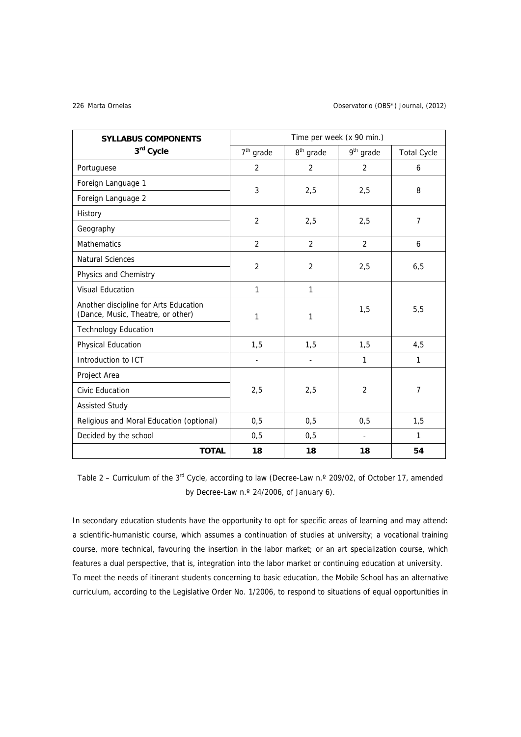#### Marta Ornelas 226 Observatorio (OBS\*) Journal, (2012)

| <b>SYLLABUS COMPONENTS</b>                                                 | Time per week (x 90 min.) |                       |                       |                    |
|----------------------------------------------------------------------------|---------------------------|-----------------------|-----------------------|--------------------|
| 3rd Cycle                                                                  | $7th$ grade               | 8 <sup>th</sup> grade | 9 <sup>th</sup> grade | <b>Total Cycle</b> |
| Portuguese                                                                 | $\overline{2}$            | 2                     | 2                     | 6                  |
| Foreign Language 1                                                         | 3                         | 2,5                   | 2,5                   | 8                  |
| Foreign Language 2                                                         |                           |                       |                       |                    |
| History                                                                    | $\overline{2}$            | 2,5                   | 2,5                   | 7                  |
| Geography                                                                  |                           |                       |                       |                    |
| <b>Mathematics</b>                                                         | 2                         | $\overline{2}$        | 2                     | 6                  |
| <b>Natural Sciences</b>                                                    | $\overline{2}$            | $\overline{2}$        | 2,5                   | 6,5                |
| Physics and Chemistry                                                      |                           |                       |                       |                    |
| <b>Visual Education</b>                                                    | $\mathbf{1}$              | $\mathbf{1}$          |                       |                    |
| Another discipline for Arts Education<br>(Dance, Music, Theatre, or other) | 1                         | 1                     | 1,5                   | 5,5                |
| <b>Technology Education</b>                                                |                           |                       |                       |                    |
| Physical Education                                                         | 1,5                       | 1,5                   | 1,5                   | 4,5                |
| Introduction to ICT                                                        | $\frac{1}{2}$             | $\overline{a}$        | 1                     | 1                  |
| Project Area                                                               |                           |                       |                       |                    |
| Civic Education                                                            | 2,5                       | 2,5                   | $\overline{2}$        | $\overline{7}$     |
| <b>Assisted Study</b>                                                      |                           |                       |                       |                    |
| Religious and Moral Education (optional)                                   | 0,5                       | 0,5                   | 0,5                   | 1,5                |
| Decided by the school                                                      | 0,5                       | 0, 5                  |                       | 1                  |
| <b>TOTAL</b>                                                               | 18                        | 18                    | 18                    | 54                 |

Table 2 – Curriculum of the 3<sup>rd</sup> Cycle, according to law (Decree-Law n.º 209/02, of October 17, amended by Decree-Law n.º 24/2006, of January 6).

In secondary education students have the opportunity to opt for specific areas of learning and may attend: a scientific-humanistic course, which assumes a continuation of studies at university; a vocational training course, more technical, favouring the insertion in the labor market; or an art specialization course, which features a dual perspective, that is, integration into the labor market or continuing education at university. To meet the needs of itinerant students concerning to basic education, the Mobile School has an alternative curriculum, according to the Legislative Order No. 1/2006, to respond to situations of equal opportunities in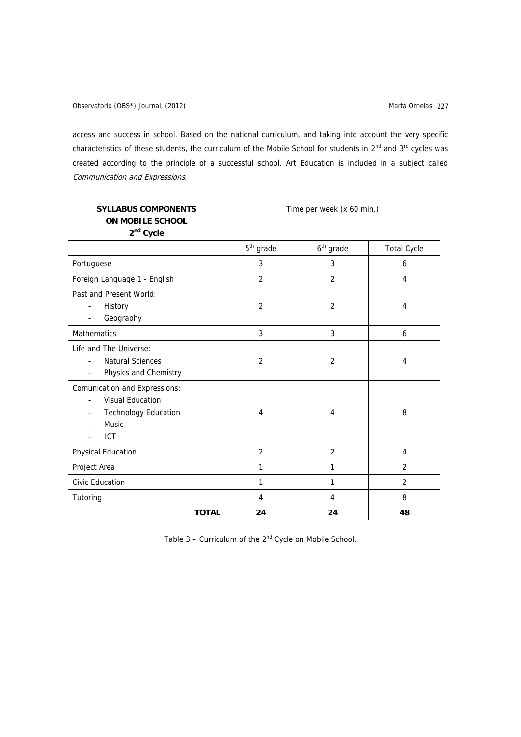access and success in school. Based on the national curriculum, and taking into account the very specific characteristics of these students, the curriculum of the Mobile School for students in  $2^{nd}$  and  $3^{rd}$  cycles was created according to the principle of a successful school. Art Education is included in a subject called Communication and Expressions.

| <b>SYLLABUS COMPONENTS</b><br><b>ON MOBILE SCHOOL</b><br>2 <sup>nd</sup> Cycle                                           | Time per week (x 60 min.) |                |                    |  |
|--------------------------------------------------------------------------------------------------------------------------|---------------------------|----------------|--------------------|--|
|                                                                                                                          | $5th$ grade               | $6th$ grade    | <b>Total Cycle</b> |  |
| Portuguese                                                                                                               | 3                         | 3              | 6                  |  |
| Foreign Language 1 - English                                                                                             | $\overline{2}$            | 2              | 4                  |  |
| Past and Present World:<br>History<br>Geography<br>L,                                                                    | $\overline{2}$            | $\overline{2}$ | 4                  |  |
| <b>Mathematics</b>                                                                                                       | 3                         | 3              | 6                  |  |
| Life and The Universe:<br><b>Natural Sciences</b><br>$\overline{a}$<br>Physics and Chemistry<br>$\overline{\phantom{a}}$ | $\overline{2}$            | $\overline{2}$ | 4                  |  |
| Comunication and Expressions:<br><b>Visual Education</b><br><b>Technology Education</b><br><b>Music</b><br><b>ICT</b>    | 4                         | $\overline{4}$ | 8                  |  |
| Physical Education                                                                                                       | $\overline{2}$            | $\overline{2}$ | 4                  |  |
| Project Area                                                                                                             | 1                         | $\mathbf{1}$   | 2                  |  |
| Civic Education                                                                                                          | 1                         | 1              | 2                  |  |
| Tutoring                                                                                                                 | 4                         | 4              | 8                  |  |
| <b>TOTAL</b>                                                                                                             | 24                        | 24             | 48                 |  |

Table  $3$  – Curriculum of the  $2<sup>nd</sup>$  Cycle on Mobile School.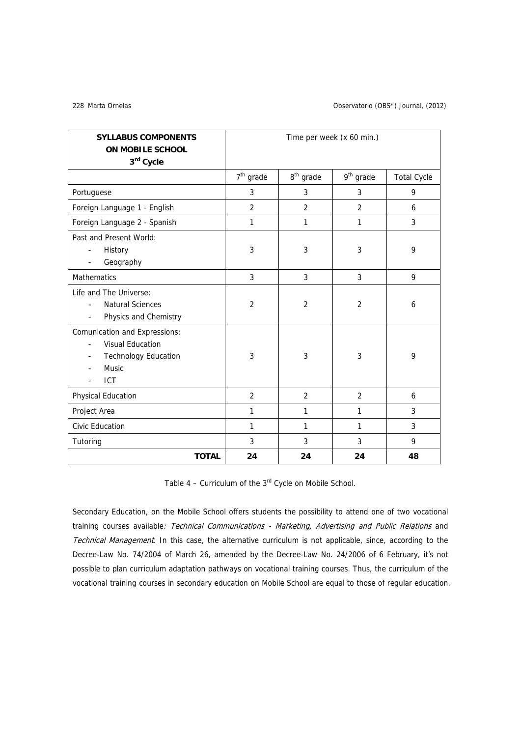### Marta Ornelas 228 Observatorio (OBS\*) Journal, (2012)

| <b>SYLLABUS COMPONENTS</b><br><b>ON MOBILE SCHOOL</b><br>3rd Cycle                                                           | Time per week (x 60 min.) |                       |                       |                    |
|------------------------------------------------------------------------------------------------------------------------------|---------------------------|-----------------------|-----------------------|--------------------|
|                                                                                                                              | $7th$ grade               | 8 <sup>th</sup> grade | 9 <sup>th</sup> grade | <b>Total Cycle</b> |
| Portuguese                                                                                                                   | 3                         | 3                     | 3                     | 9                  |
| Foreign Language 1 - English                                                                                                 | $\overline{2}$            | $\overline{2}$        | $\overline{2}$        | 6                  |
| Foreign Language 2 - Spanish                                                                                                 | 1                         | 1                     | 1                     | 3                  |
| Past and Present World:<br>History<br>$\blacksquare$<br>Geography                                                            | 3                         | 3                     | 3                     | 9                  |
| <b>Mathematics</b>                                                                                                           | 3                         | 3                     | 3                     | 9                  |
| Life and The Universe:<br><b>Natural Sciences</b><br>$\overline{a}$<br>Physics and Chemistry<br>$\blacksquare$               | $\overline{2}$            | $\overline{2}$        | $\overline{2}$        | 6                  |
| <b>Comunication and Expressions:</b><br><b>Visual Education</b><br><b>Technology Education</b><br><b>Music</b><br><b>ICT</b> | 3                         | 3                     | 3                     | 9                  |
| Physical Education                                                                                                           | 2                         | 2                     | $\overline{2}$        | 6                  |
| Project Area                                                                                                                 | 1                         | 1                     | 1                     | 3                  |
| Civic Education                                                                                                              | 1                         | 1                     | 1                     | 3                  |
| Tutoring                                                                                                                     | 3                         | 3                     | 3                     | 9                  |
| <b>TOTAL</b>                                                                                                                 | 24                        | 24                    | 24                    | 48                 |

Table  $4$  – Curriculum of the  $3<sup>rd</sup>$  Cycle on Mobile School.

Secondary Education, on the Mobile School offers students the possibility to attend one of two vocational training courses available: Technical Communications - Marketing, Advertising and Public Relations and Technical Management. In this case, the alternative curriculum is not applicable, since, according to the Decree-Law No. 74/2004 of March 26, amended by the Decree-Law No. 24/2006 of 6 February, it's not possible to plan curriculum adaptation pathways on vocational training courses. Thus, the curriculum of the vocational training courses in secondary education on Mobile School are equal to those of regular education.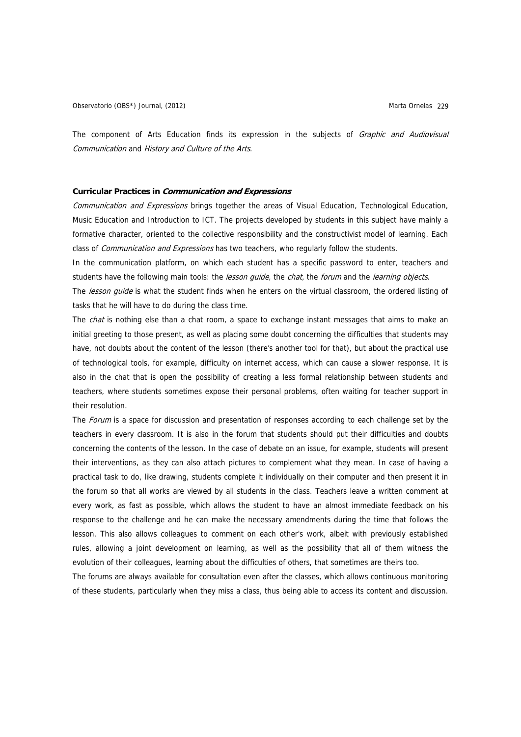The component of Arts Education finds its expression in the subjects of Graphic and Audiovisual Communication and History and Culture of the Arts.

### **Curricular Practices in Communication and Expressions**

Communication and Expressions brings together the areas of Visual Education, Technological Education, Music Education and Introduction to ICT. The projects developed by students in this subject have mainly a formative character, oriented to the collective responsibility and the constructivist model of learning. Each class of Communication and Expressions has two teachers, who regularly follow the students.

In the communication platform, on which each student has a specific password to enter, teachers and students have the following main tools: the *lesson quide*, the *chat*, the *forum* and the *learning objects*.

The lesson quide is what the student finds when he enters on the virtual classroom, the ordered listing of tasks that he will have to do during the class time.

The *chat* is nothing else than a chat room, a space to exchange instant messages that aims to make an initial greeting to those present, as well as placing some doubt concerning the difficulties that students may have, not doubts about the content of the lesson (there's another tool for that), but about the practical use of technological tools, for example, difficulty on internet access, which can cause a slower response. It is also in the chat that is open the possibility of creating a less formal relationship between students and teachers, where students sometimes expose their personal problems, often waiting for teacher support in their resolution.

The Forum is a space for discussion and presentation of responses according to each challenge set by the teachers in every classroom. It is also in the forum that students should put their difficulties and doubts concerning the contents of the lesson. In the case of debate on an issue, for example, students will present their interventions, as they can also attach pictures to complement what they mean. In case of having a practical task to do, like drawing, students complete it individually on their computer and then present it in the forum so that all works are viewed by all students in the class. Teachers leave a written comment at every work, as fast as possible, which allows the student to have an almost immediate feedback on his response to the challenge and he can make the necessary amendments during the time that follows the lesson. This also allows colleagues to comment on each other's work, albeit with previously established rules, allowing a joint development on learning, as well as the possibility that all of them witness the evolution of their colleagues, learning about the difficulties of others, that sometimes are theirs too.

The forums are always available for consultation even after the classes, which allows continuous monitoring of these students, particularly when they miss a class, thus being able to access its content and discussion.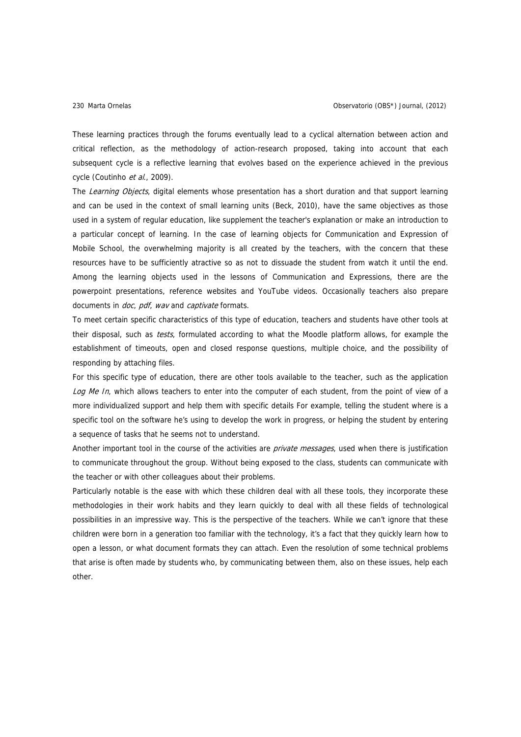These learning practices through the forums eventually lead to a cyclical alternation between action and critical reflection, as the methodology of action-research proposed, taking into account that each subsequent cycle is a reflective learning that evolves based on the experience achieved in the previous cycle (Coutinho et al., 2009).

The Learning Objects, digital elements whose presentation has a short duration and that support learning and can be used in the context of small learning units (Beck, 2010), have the same objectives as those used in a system of regular education, like supplement the teacher's explanation or make an introduction to a particular concept of learning. In the case of learning objects for Communication and Expression of Mobile School, the overwhelming majority is all created by the teachers, with the concern that these resources have to be sufficiently atractive so as not to dissuade the student from watch it until the end. Among the learning objects used in the lessons of Communication and Expressions, there are the powerpoint presentations, reference websites and YouTube videos. Occasionally teachers also prepare documents in *doc*, pdf, wav and captivate formats.

To meet certain specific characteristics of this type of education, teachers and students have other tools at their disposal, such as *tests*, formulated according to what the Moodle platform allows, for example the establishment of timeouts, open and closed response questions, multiple choice, and the possibility of responding by attaching files.

For this specific type of education, there are other tools available to the teacher, such as the application Log Me In, which allows teachers to enter into the computer of each student, from the point of view of a more individualized support and help them with specific details For example, telling the student where is a specific tool on the software he's using to develop the work in progress, or helping the student by entering a sequence of tasks that he seems not to understand.

Another important tool in the course of the activities are *private messages*, used when there is justification to communicate throughout the group. Without being exposed to the class, students can communicate with the teacher or with other colleagues about their problems.

Particularly notable is the ease with which these children deal with all these tools, they incorporate these methodologies in their work habits and they learn quickly to deal with all these fields of technological possibilities in an impressive way. This is the perspective of the teachers. While we can't ignore that these children were born in a generation too familiar with the technology, it's a fact that they quickly learn how to open a lesson, or what document formats they can attach. Even the resolution of some technical problems that arise is often made by students who, by communicating between them, also on these issues, help each other.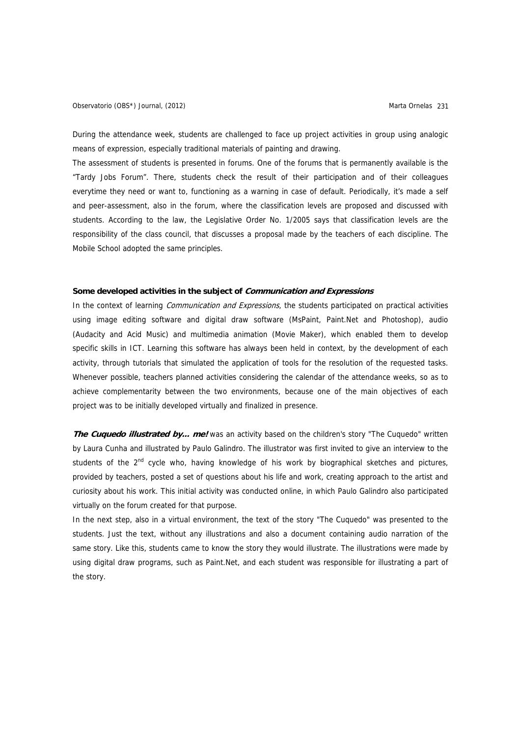Observatorio (OBS\*) Journal, (2012) Charles Controller and Controller Marta Ornelas 231

During the attendance week, students are challenged to face up project activities in group using analogic means of expression, especially traditional materials of painting and drawing.

The assessment of students is presented in forums. One of the forums that is permanently available is the "Tardy Jobs Forum". There, students check the result of their participation and of their colleagues everytime they need or want to, functioning as a warning in case of default. Periodically, it's made a self and peer-assessment, also in the forum, where the classification levels are proposed and discussed with students. According to the law, the Legislative Order No. 1/2005 says that classification levels are the responsibility of the class council, that discusses a proposal made by the teachers of each discipline. The Mobile School adopted the same principles.

# **Some developed activities in the subject of Communication and Expressions**

In the context of learning *Communication and Expressions*, the students participated on practical activities using image editing software and digital draw software (MsPaint, Paint.Net and Photoshop), audio (Audacity and Acid Music) and multimedia animation (Movie Maker), which enabled them to develop specific skills in ICT. Learning this software has always been held in context, by the development of each activity, through tutorials that simulated the application of tools for the resolution of the requested tasks. Whenever possible, teachers planned activities considering the calendar of the attendance weeks, so as to achieve complementarity between the two environments, because one of the main objectives of each project was to be initially developed virtually and finalized in presence.

The Cuquedo illustrated by... me! was an activity based on the children's story "The Cuquedo" written by Laura Cunha and illustrated by Paulo Galindro. The illustrator was first invited to give an interview to the students of the 2<sup>nd</sup> cycle who, having knowledge of his work by biographical sketches and pictures, provided by teachers, posted a set of questions about his life and work, creating approach to the artist and curiosity about his work. This initial activity was conducted online, in which Paulo Galindro also participated virtually on the forum created for that purpose.

In the next step, also in a virtual environment, the text of the story "The Cuquedo" was presented to the students. Just the text, without any illustrations and also a document containing audio narration of the same story. Like this, students came to know the story they would illustrate. The illustrations were made by using digital draw programs, such as Paint.Net, and each student was responsible for illustrating a part of the story.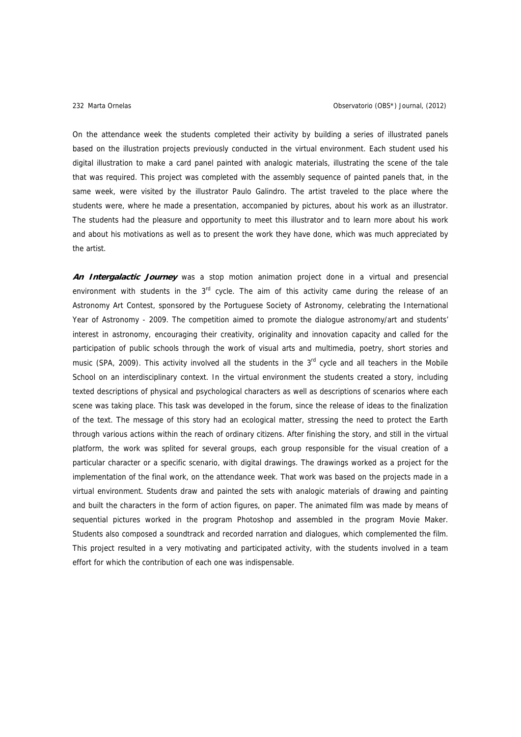On the attendance week the students completed their activity by building a series of illustrated panels based on the illustration projects previously conducted in the virtual environment. Each student used his digital illustration to make a card panel painted with analogic materials, illustrating the scene of the tale that was required. This project was completed with the assembly sequence of painted panels that, in the same week, were visited by the illustrator Paulo Galindro. The artist traveled to the place where the students were, where he made a presentation, accompanied by pictures, about his work as an illustrator. The students had the pleasure and opportunity to meet this illustrator and to learn more about his work and about his motivations as well as to present the work they have done, which was much appreciated by the artist.

**An Intergalactic Journey** was a stop motion animation project done in a virtual and presencial environment with students in the  $3<sup>rd</sup>$  cycle. The aim of this activity came during the release of an Astronomy Art Contest, sponsored by the Portuguese Society of Astronomy, celebrating the International Year of Astronomy - 2009. The competition aimed to promote the dialogue astronomy/art and students' interest in astronomy, encouraging their creativity, originality and innovation capacity and called for the participation of public schools through the work of visual arts and multimedia, poetry, short stories and music (SPA, 2009). This activity involved all the students in the  $3<sup>rd</sup>$  cycle and all teachers in the Mobile School on an interdisciplinary context. In the virtual environment the students created a story, including texted descriptions of physical and psychological characters as well as descriptions of scenarios where each scene was taking place. This task was developed in the forum, since the release of ideas to the finalization of the text. The message of this story had an ecological matter, stressing the need to protect the Earth through various actions within the reach of ordinary citizens. After finishing the story, and still in the virtual platform, the work was splited for several groups, each group responsible for the visual creation of a particular character or a specific scenario, with digital drawings. The drawings worked as a project for the implementation of the final work, on the attendance week. That work was based on the projects made in a virtual environment. Students draw and painted the sets with analogic materials of drawing and painting and built the characters in the form of action figures, on paper. The animated film was made by means of sequential pictures worked in the program Photoshop and assembled in the program Movie Maker. Students also composed a soundtrack and recorded narration and dialogues, which complemented the film. This project resulted in a very motivating and participated activity, with the students involved in a team effort for which the contribution of each one was indispensable.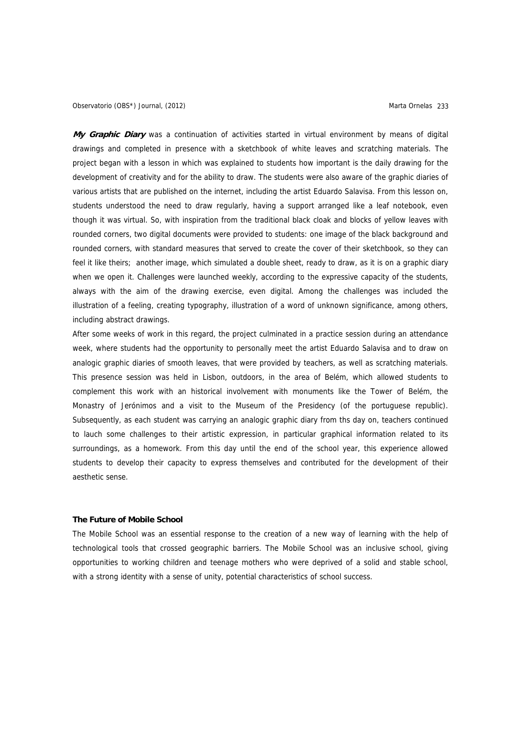**My Graphic Diary** was a continuation of activities started in virtual environment by means of digital drawings and completed in presence with a sketchbook of white leaves and scratching materials. The project began with a lesson in which was explained to students how important is the daily drawing for the development of creativity and for the ability to draw. The students were also aware of the graphic diaries of various artists that are published on the internet, including the artist Eduardo Salavisa. From this lesson on, students understood the need to draw regularly, having a support arranged like a leaf notebook, even though it was virtual. So, with inspiration from the traditional black cloak and blocks of yellow leaves with rounded corners, two digital documents were provided to students: one image of the black background and rounded corners, with standard measures that served to create the cover of their sketchbook, so they can feel it like theirs; another image, which simulated a double sheet, ready to draw, as it is on a graphic diary when we open it. Challenges were launched weekly, according to the expressive capacity of the students, always with the aim of the drawing exercise, even digital. Among the challenges was included the illustration of a feeling, creating typography, illustration of a word of unknown significance, among others, including abstract drawings.

After some weeks of work in this regard, the project culminated in a practice session during an attendance week, where students had the opportunity to personally meet the artist Eduardo Salavisa and to draw on analogic graphic diaries of smooth leaves, that were provided by teachers, as well as scratching materials. This presence session was held in Lisbon, outdoors, in the area of Belém, which allowed students to complement this work with an historical involvement with monuments like the Tower of Belém, the Monastry of Jerónimos and a visit to the Museum of the Presidency (of the portuguese republic). Subsequently, as each student was carrying an analogic graphic diary from ths day on, teachers continued to lauch some challenges to their artistic expression, in particular graphical information related to its surroundings, as a homework. From this day until the end of the school year, this experience allowed students to develop their capacity to express themselves and contributed for the development of their aesthetic sense.

# **The Future of Mobile School**

The Mobile School was an essential response to the creation of a new way of learning with the help of technological tools that crossed geographic barriers. The Mobile School was an inclusive school, giving opportunities to working children and teenage mothers who were deprived of a solid and stable school, with a strong identity with a sense of unity, potential characteristics of school success.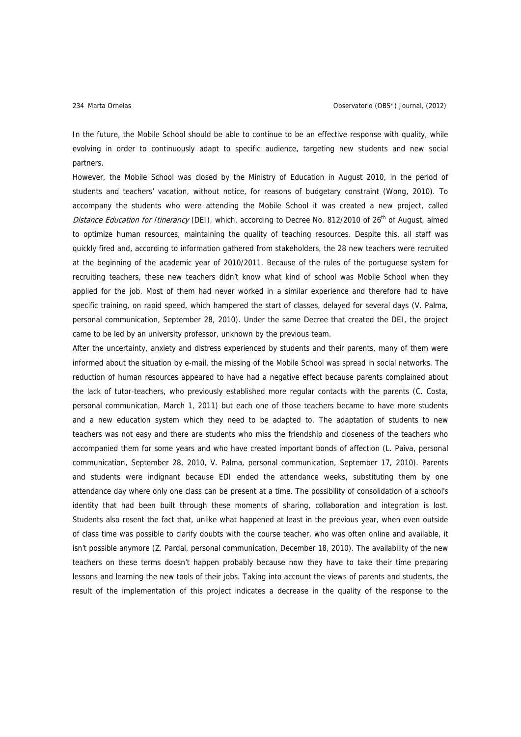In the future, the Mobile School should be able to continue to be an effective response with quality, while evolving in order to continuously adapt to specific audience, targeting new students and new social partners.

However, the Mobile School was closed by the Ministry of Education in August 2010, in the period of students and teachers' vacation, without notice, for reasons of budgetary constraint (Wong, 2010). To accompany the students who were attending the Mobile School it was created a new project, called Distance Education for Itinerancy (DEI), which, according to Decree No. 812/2010 of 26<sup>th</sup> of August, aimed to optimize human resources, maintaining the quality of teaching resources. Despite this, all staff was quickly fired and, according to information gathered from stakeholders, the 28 new teachers were recruited at the beginning of the academic year of 2010/2011. Because of the rules of the portuguese system for recruiting teachers, these new teachers didn't know what kind of school was Mobile School when they applied for the job. Most of them had never worked in a similar experience and therefore had to have specific training, on rapid speed, which hampered the start of classes, delayed for several days (V. Palma, personal communication, September 28, 2010). Under the same Decree that created the DEI, the project came to be led by an university professor, unknown by the previous team.

After the uncertainty, anxiety and distress experienced by students and their parents, many of them were informed about the situation by e-mail, the missing of the Mobile School was spread in social networks. The reduction of human resources appeared to have had a negative effect because parents complained about the lack of tutor-teachers, who previously established more regular contacts with the parents (C. Costa, personal communication, March 1, 2011) but each one of those teachers became to have more students and a new education system which they need to be adapted to. The adaptation of students to new teachers was not easy and there are students who miss the friendship and closeness of the teachers who accompanied them for some years and who have created important bonds of affection (L. Paiva, personal communication, September 28, 2010, V. Palma, personal communication, September 17, 2010). Parents and students were indignant because EDI ended the attendance weeks, substituting them by one attendance day where only one class can be present at a time. The possibility of consolidation of a school's identity that had been built through these moments of sharing, collaboration and integration is lost. Students also resent the fact that, unlike what happened at least in the previous year, when even outside of class time was possible to clarify doubts with the course teacher, who was often online and available, it isn't possible anymore (Z. Pardal, personal communication, December 18, 2010). The availability of the new teachers on these terms doesn't happen probably because now they have to take their time preparing lessons and learning the new tools of their jobs. Taking into account the views of parents and students, the result of the implementation of this project indicates a decrease in the quality of the response to the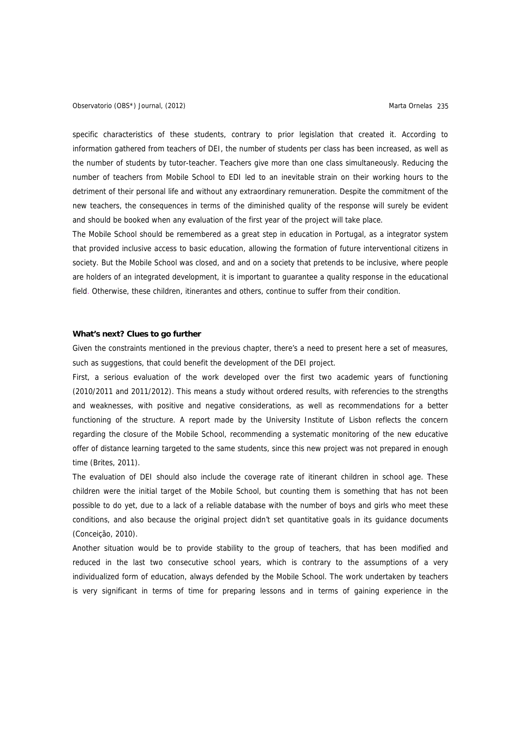specific characteristics of these students, contrary to prior legislation that created it. According to information gathered from teachers of DEI, the number of students per class has been increased, as well as the number of students by tutor-teacher. Teachers give more than one class simultaneously. Reducing the number of teachers from Mobile School to EDI led to an inevitable strain on their working hours to the detriment of their personal life and without any extraordinary remuneration. Despite the commitment of the new teachers, the consequences in terms of the diminished quality of the response will surely be evident and should be booked when any evaluation of the first year of the project will take place.

The Mobile School should be remembered as a great step in education in Portugal, as a integrator system that provided inclusive access to basic education, allowing the formation of future interventional citizens in society. But the Mobile School was closed, and and on a society that pretends to be inclusive, where people are holders of an integrated development, it is important to guarantee a quality response in the educational field. Otherwise, these children, itinerantes and others, continue to suffer from their condition.

# **What's next? Clues to go further**

Given the constraints mentioned in the previous chapter, there's a need to present here a set of measures, such as suggestions, that could benefit the development of the DEI project.

First, a serious evaluation of the work developed over the first two academic years of functioning (2010/2011 and 2011/2012). This means a study without ordered results, with referencies to the strengths and weaknesses, with positive and negative considerations, as well as recommendations for a better functioning of the structure. A report made by the University Institute of Lisbon reflects the concern regarding the closure of the Mobile School, recommending a systematic monitoring of the new educative offer of distance learning targeted to the same students, since this new project was not prepared in enough time (Brites, 2011).

The evaluation of DEI should also include the coverage rate of itinerant children in school age. These children were the initial target of the Mobile School, but counting them is something that has not been possible to do yet, due to a lack of a reliable database with the number of boys and girls who meet these conditions, and also because the original project didn't set quantitative goals in its guidance documents (Conceição, 2010).

Another situation would be to provide stability to the group of teachers, that has been modified and reduced in the last two consecutive school years, which is contrary to the assumptions of a very individualized form of education, always defended by the Mobile School. The work undertaken by teachers is very significant in terms of time for preparing lessons and in terms of gaining experience in the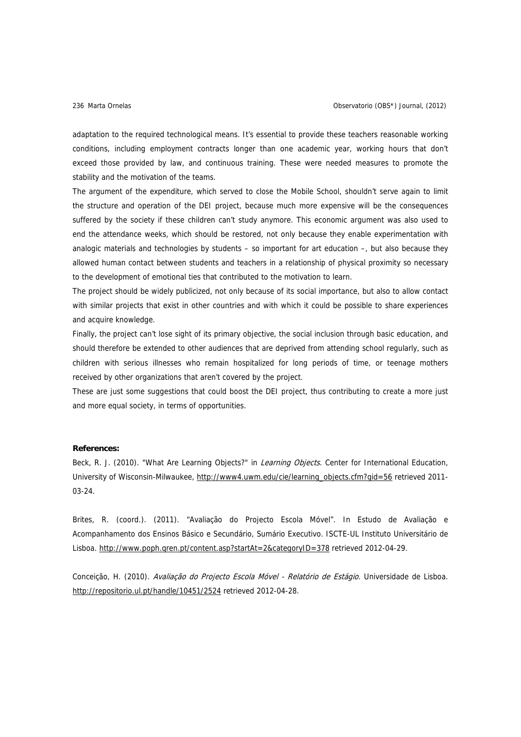adaptation to the required technological means. It's essential to provide these teachers reasonable working conditions, including employment contracts longer than one academic year, working hours that don't exceed those provided by law, and continuous training. These were needed measures to promote the stability and the motivation of the teams.

The argument of the expenditure, which served to close the Mobile School, shouldn't serve again to limit the structure and operation of the DEI project, because much more expensive will be the consequences suffered by the society if these children can't study anymore. This economic argument was also used to end the attendance weeks, which should be restored, not only because they enable experimentation with analogic materials and technologies by students – so important for art education –, but also because they allowed human contact between students and teachers in a relationship of physical proximity so necessary to the development of emotional ties that contributed to the motivation to learn.

The project should be widely publicized, not only because of its social importance, but also to allow contact with similar projects that exist in other countries and with which it could be possible to share experiences and acquire knowledge.

Finally, the project can't lose sight of its primary objective, the social inclusion through basic education, and should therefore be extended to other audiences that are deprived from attending school regularly, such as children with serious illnesses who remain hospitalized for long periods of time, or teenage mothers received by other organizations that aren't covered by the project.

These are just some suggestions that could boost the DEI project, thus contributing to create a more just and more equal society, in terms of opportunities.

# **References:**

Beck, R. J. (2010). "What Are Learning Objects?" in Learning Objects. Center for International Education, University of Wisconsin-Milwaukee, [http://www4.uwm.edu/cie/learning\\_objects.cfm?gid=56](http://www4.uwm.edu/cie/learning_objects.cfm?gid=56) retrieved 2011- 03-24.

Brites, R. (coord.). (2011). "Avaliação do Projecto Escola Móvel". In Estudo de Avaliação e Acompanhamento dos Ensinos Básico e Secundário, Sumário Executivo. ISCTE-UL Instituto Universitário de Lisboa. <http://www.poph.qren.pt/content.asp?startAt=2&categoryID=378>retrieved 2012-04-29.

Conceição, H. (2010). Avaliação do Projecto Escola Móvel - Relatório de Estágio. Universidade de Lisboa. <http://repositorio.ul.pt/handle/10451/2524>retrieved 2012-04-28.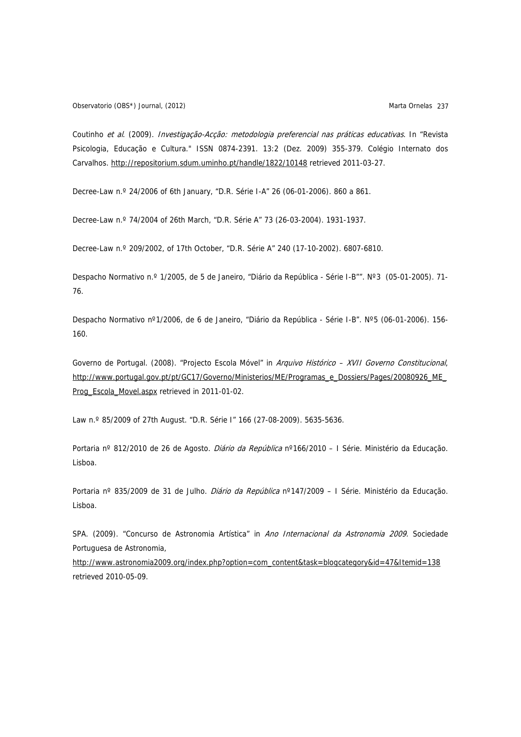Observatorio (OBS\*) Journal, (2012) **Marta Ornelas** 237

Coutinho et al. (2009). Investigação-Acção: metodologia preferencial nas práticas educativas. In "Revista Psicologia, Educação e Cultura." ISSN 0874-2391. 13:2 (Dez. 2009) 355-379. Colégio Internato dos Carvalhos.<http://repositorium.sdum.uminho.pt/handle/1822/10148> retrieved 2011-03-27.

Decree-Law n.º 24/2006 of 6th January, "D.R. Série I-A" 26 (06-01-2006). 860 a 861.

Decree-Law n.º 74/2004 of 26th March, "D.R. Série A" 73 (26-03-2004). 1931-1937.

Decree-Law n.º 209/2002, of 17th October, "D.R. Série A" 240 (17-10-2002). 6807-6810.

Despacho Normativo n.º 1/2005, de 5 de Janeiro, "Diário da República - Série I-B"". Nº3 (05-01-2005). 71- 76.

Despacho Normativo nº1/2006, de 6 de Janeiro, "Diário da República - Série I-B". Nº5 (06-01-2006). 156- 160.

Governo de Portugal. (2008). "Projecto Escola Móvel" in Arquivo Histórico - XVII Governo Constitucional, [http://www.portugal.gov.pt/pt/GC17/Governo/Ministerios/ME/Programas\\_e\\_Dossiers/Pages/20080926\\_ME\\_](http://www.portugal.gov.pt/pt/GC17/Governo/Ministerios/ME/Programas_e_Dossiers/Pages/20080926_ME_Prog_Escola_Movel.aspx) [Prog\\_Escola\\_Movel.aspx](http://www.portugal.gov.pt/pt/GC17/Governo/Ministerios/ME/Programas_e_Dossiers/Pages/20080926_ME_Prog_Escola_Movel.aspx) retrieved in 2011-01-02.

Law n.º 85/2009 of 27th August. "D.R. Série I" 166 (27-08-2009). 5635-5636.

Portaria nº 812/2010 de 26 de Agosto. Diário da República nº166/2010 - I Série. Ministério da Educação. Lisboa.

Portaria nº 835/2009 de 31 de Julho. Diário da República nº147/2009 - I Série. Ministério da Educação. Lisboa.

SPA. (2009). "Concurso de Astronomia Artística" in Ano Internacional da Astronomia 2009. Sociedade Portuguesa de Astronomia,

[http://www.astronomia2009.org/index.php?option=com\\_content&task=blogcategory&id=47&Itemid=138](http://www.astronomia2009.org/index.php?option=com_content&task=blogcategory&id=47&Itemid=138) retrieved 2010-05-09.